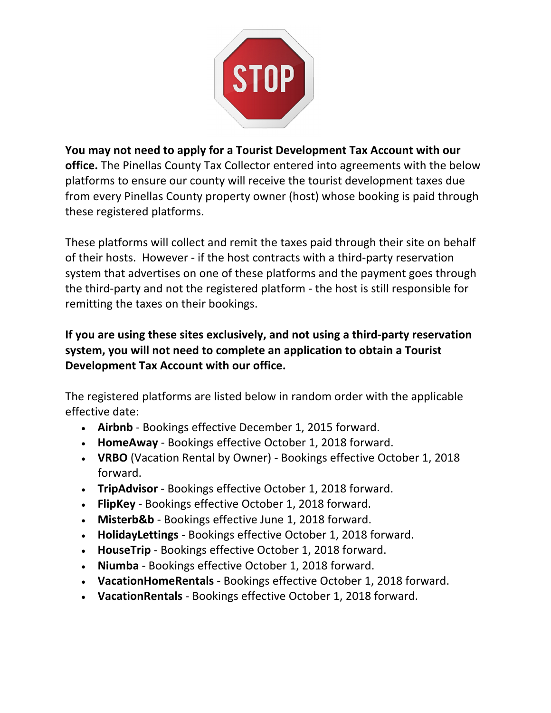

# **You may not need to apply for a Tourist Development Tax Account with our**

office. The Pinellas County Tax Collector entered into agreements with the below platforms to ensure our county will receive the tourist development taxes due from every Pinellas County property owner (host) whose booking is paid through these registered platforms.

These platforms will collect and remit the taxes paid through their site on behalf of their hosts. However - if the host contracts with a third-party reservation system that advertises on one of these platforms and the payment goes through the third-party and not the registered platform - the host is still responsible for remitting the taxes on their bookings.

## **system, you will not need to complete an application to obtain a Tourist Development Tax Account with our office. If you are using these sites exclusively, and not using a third-party reservation**

The registered platforms are listed below in random order with the applicable effective date:

- **Airbnb** Bookings effective December 1, 2015 forward.
- **HomeAway** Bookings effective October 1, 2018 forward.
- VRBO (Vacation Rental by Owner) Bookings effective October 1, 2018 forward.
- **TripAdvisor** Bookings effective October 1, 2018 forward.
- **FlipKey** Bookings effective October 1, 2018 forward.
- Misterb&b Bookings effective June 1, 2018 forward.
- **HolidayLettings** Bookings effective October 1, 2018 forward.
- HouseTrip Bookings effective October 1, 2018 forward.
- **Niumba** Bookings effective October 1, 2018 forward.
- **VacationHomeRentals** Bookings effective October 1, 2018 forward.
- **VacationRentals** Bookings effective October 1, 2018 forward.